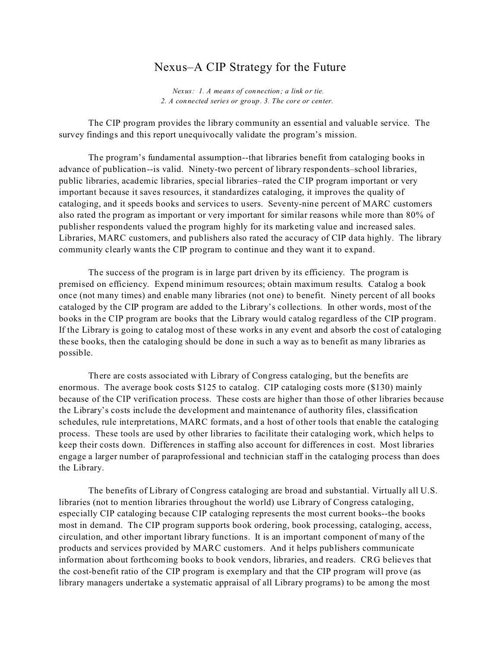## Nexus–A CIP Strategy for the Future

*Nexus: 1. A means of connection; a link or tie. 2. A connected series or group. 3. The core or center.* 

The CIP program provides the library community an essential and valuable service. The survey findings and this report unequivocally validate the program's mission.

The program's fundamental assumption--that libraries benefit from cataloging books in advance of publication--is valid. Ninety-two percent of library respondents–school libraries, public libraries, academic libraries, special libraries–rated the CIP program important or very important because it saves resources, it standardizes cataloging, it improves the quality of cataloging, and it speeds books and services to users. Seventy-nine percent of MARC customers also rated the program as important or very important for similar reasons while more than 80% of publisher respondents valued the program highly for its marketing value and increased sales. Libraries, MARC customers, and publishers also rated the accuracy of CIP data highly. The library community clearly wants the CIP program to continue and they want it to expand.

The success of the program is in large part driven by its efficiency. The program is premised on efficiency. Expend minimum resources; obtain maximum results. Catalog a book once (not many times) and enable many libraries (not one) to benefit. Ninety percent of all books cataloged by the CIP program are added to the Library's collections. In other words, most of the books in the CIP program are books that the Library would catalog regardless of the CIP program. If the Library is going to catalog most of these works in any event and absorb the cost of cataloging these books, then the cataloging should be done in such a way as to benefit as many libraries as possible.

There are costs associated with Library of Congress cataloging, but the benefits are enormous. The average book costs \$125 to catalog. CIP cataloging costs more (\$130) mainly because of the CIP verification process. These costs are higher than those of other libraries because the Library's costs include the development and maintenance of authority files, classification schedules, rule interpretations, MARC formats, and a host of other tools that enable the cataloging process. These tools are used by other libraries to facilitate their cataloging work, which helps to keep their costs down. Differences in staffing also account for differences in cost. Most libraries engage a larger number of paraprofessional and technician staff in the cataloging process than does the Library.

The benefits of Library of Congress cataloging are broad and substantial. Virtually all U.S. libraries (not to mention libraries throughout the world) use Library of Congress cataloging, especially CIP cataloging because CIP cataloging represents the most current books--the books most in demand. The CIP program supports book ordering, book processing, cataloging, access, circulation, and other important library functions. It is an important component of many of the products and services provided by MARC customers. And it helps publishers communicate information about forthcoming books to book vendors, libraries, and readers. CRG believes that the cost-benefit ratio of the CIP program is exemplary and that the CIP program will prove (as library managers undertake a systematic appraisal of all Library programs) to be among the most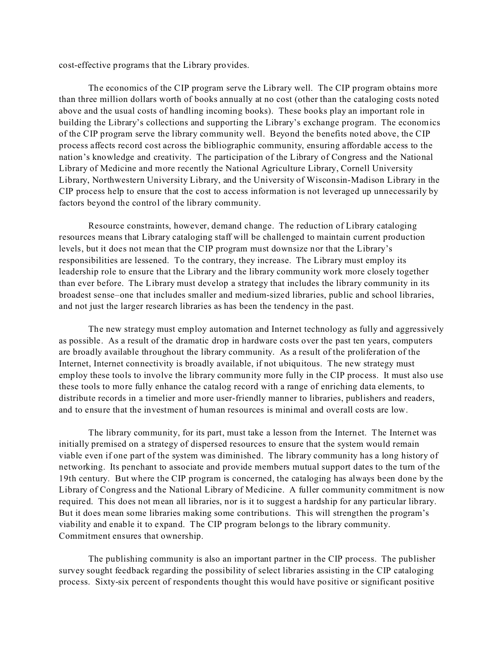cost-effective programs that the Library provides.

The economics of the CIP program serve the Library well. The CIP program obtains more than three million dollars worth of books annually at no cost (other than the cataloging costs noted above and the usual costs of handling incoming books). These books play an important role in building the Library's collections and supporting the Library's exchange program. The economics of the CIP program serve the library community well. Beyond the benefits noted above, the CIP process affects record cost across the bibliographic community, ensuring affordable access to the nation's knowledge and creativity. The participation of the Library of Congress and the National Library of Medicine and more recently the National Agriculture Library, Cornell University Library, Northwestern University Library, and the University of Wisconsin-Madison Library in the CIP process help to ensure that the cost to access information is not leveraged up unnecessarily by factors beyond the control of the library community.

Resource constraints, however, demand change. The reduction of Library cataloging resources means that Library cataloging staff will be challenged to maintain current production levels, but it does not mean that the CIP program must downsize nor that the Library's responsibilities are lessened. To the contrary, they increase. The Library must employ its leadership role to ensure that the Library and the library community work more closely together than ever before. The Library must develop a strategy that includes the library community in its broadest sense–one that includes smaller and medium-sized libraries, public and school libraries, and not just the larger research libraries as has been the tendency in the past.

The new strategy must employ automation and Internet technology as fully and aggressively as possible. As a result of the dramatic drop in hardware costs over the past ten years, computers are broadly available throughout the library community. As a result of the proliferation of the Internet, Internet connectivity is broadly available, if not ubiquitous. The new strategy must employ these tools to involve the library community more fully in the CIP process. It must also use these tools to more fully enhance the catalog record with a range of enriching data elements, to distribute records in a timelier and more user-friendly manner to libraries, publishers and readers, and to ensure that the investment of human resources is minimal and overall costs are low.

The library community, for its part, must take a lesson from the Internet. The Internet was initially premised on a strategy of dispersed resources to ensure that the system would remain viable even if one part of the system was diminished. The library community has a long history of networking. Its penchant to associate and provide members mutual support dates to the turn of the 19th century. But where the CIP program is concerned, the cataloging has always been done by the Library of Congress and the National Library of Medicine. A fuller community commitment is now required. This does not mean all libraries, nor is it to suggest a hardship for any particular library. But it does mean some libraries making some contributions. This will strengthen the program's viability and enable it to expand. The CIP program belongs to the library community. Commitment ensures that ownership.

The publishing community is also an important partner in the CIP process. The publisher survey sought feedback regarding the possibility of select libraries assisting in the CIP cataloging process. Sixty-six percent of respondents thought this would have positive or significant positive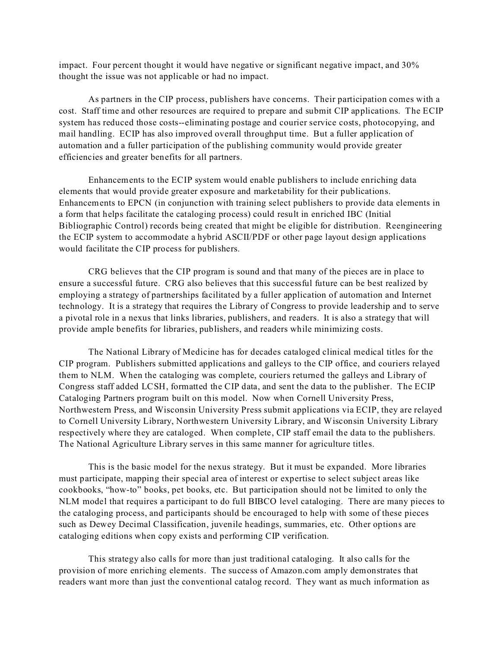impact. Four percent thought it would have negative or significant negative impact, and 30% thought the issue was not applicable or had no impact.

As partners in the CIP process, publishers have concerns. Their participation comes with a cost. Staff time and other resources are required to prepare and submit CIP applications. The ECIP system has reduced those costs--eliminating postage and courier service costs, photocopying, and mail handling. ECIP has also improved overall throughput time. But a fuller application of automation and a fuller participation of the publishing community would provide greater efficiencies and greater benefits for all partners.

Enhancements to the ECIP system would enable publishers to include enriching data elements that would provide greater exposure and marketability for their publications. Enhancements to EPCN (in conjunction with training select publishers to provide data elements in a form that helps facilitate the cataloging process) could result in enriched IBC (Initial Bibliographic Control) records being created that might be eligible for distribution. Reengineering the ECIP system to accommodate a hybrid ASCII/PDF or other page layout design applications would facilitate the CIP process for publishers.

CRG believes that the CIP program is sound and that many of the pieces are in place to ensure a successful future. CRG also believes that this successful future can be best realized by employing a strategy of partnerships facilitated by a fuller application of automation and Internet technology. It is a strategy that requires the Library of Congress to provide leadership and to serve a pivotal role in a nexus that links libraries, publishers, and readers. It is also a strategy that will provide ample benefits for libraries, publishers, and readers while minimizing costs.

The National Library of Medicine has for decades cataloged clinical medical titles for the CIP program. Publishers submitted applications and galleys to the CIP office, and couriers relayed them to NLM. When the cataloging was complete, couriers returned the galleys and Library of Congress staff added LCSH, formatted the CIP data, and sent the data to the publisher. The ECIP Cataloging Partners program built on this model. Now when Cornell University Press, Northwestern Press, and Wisconsin University Press submit applications via ECIP, they are relayed to Cornell University Library, Northwestern University Library, and Wisconsin University Library respectively where they are cataloged. When complete, CIP staff email the data to the publishers. The National Agriculture Library serves in this same manner for agriculture titles.

This is the basic model for the nexus strategy. But it must be expanded. More libraries must participate, mapping their special area of interest or expertise to select subject areas like cookbooks, "how-to" books, pet books, etc. But participation should not be limited to only the NLM model that requires a participant to do full BIBCO level cataloging. There are many pieces to the cataloging process, and participants should be encouraged to help with some of these pieces such as Dewey Decimal Classification, juvenile headings, summaries, etc. Other options are cataloging editions when copy exists and performing CIP verification.

This strategy also calls for more than just traditional cataloging. It also calls for the provision of more enriching elements. The success of Amazon.com amply demonstrates that readers want more than just the conventional catalog record. They want as much information as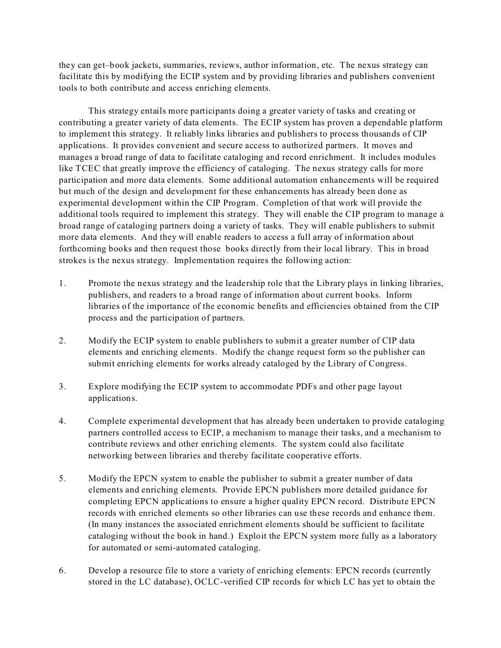they can get–book jackets, summaries, reviews, author information, etc. The nexus strategy can facilitate this by modifying the ECIP system and by providing libraries and publishers convenient tools to both contribute and access enriching elements.

This strategy entails more participants doing a greater variety of tasks and creating or contributing a greater variety of data elements. The ECIP system has proven a dependable platform to implement this strategy. It reliably links libraries and publishers to process thousands of CIP applications. It provides convenient and secure access to authorized partners. It moves and manages a broad range of data to facilitate cataloging and record enrichment. It includes modules like TCEC that greatly improve the efficiency of cataloging. The nexus strategy calls for more participation and more data elements. Some additional automation enhancements will be required but much of the design and development for these enhancements has already been done as experimental development within the CIP Program. Completion of that work will provide the additional tools required to implement this strategy. They will enable the CIP program to manage a broad range of cataloging partners doing a variety of tasks. They will enable publishers to submit more data elements. And they will enable readers to access a full array of information about forthcoming books and then request those books directly from their local library. This in broad strokes is the nexus strategy. Implementation requires the following action:

- 1. Promote the nexus strategy and the leadership role that the Library plays in linking libraries, publishers, and readers to a broad range of information about current books. Inform libraries of the importance of the economic benefits and efficiencies obtained from the CIP process and the participation of partners.
- 2. Modify the ECIP system to enable publishers to submit a greater number of CIP data elements and enriching elements. Modify the change request form so the publisher can submit enriching elements for works already cataloged by the Library of Congress.
- 3. Explore modifying the ECIP system to accommodate PDFs and other page layout applications.
- 4. Complete experimental development that has already been undertaken to provide cataloging partners controlled access to ECIP, a mechanism to manage their tasks, and a mechanism to contribute reviews and other enriching elements. The system could also facilitate networking between libraries and thereby facilitate cooperative efforts.
- 5. Modify the EPCN system to enable the publisher to submit a greater number of data elements and enriching elements. Provide EPCN publishers more detailed guidance for completing EPCN applications to ensure a higher quality EPCN record. Distribute EPCN records with enriched elements so other libraries can use these records and enhance them. (In many instances the associated enrichment elements should be sufficient to facilitate cataloging without the book in hand.) Exploit the EPCN system more fully as a laboratory for automated or semi-automated cataloging.
- 6. Develop a resource file to store a variety of enriching elements: EPCN records (currently stored in the LC database), OCLC-verified CIP records for which LC has yet to obtain the